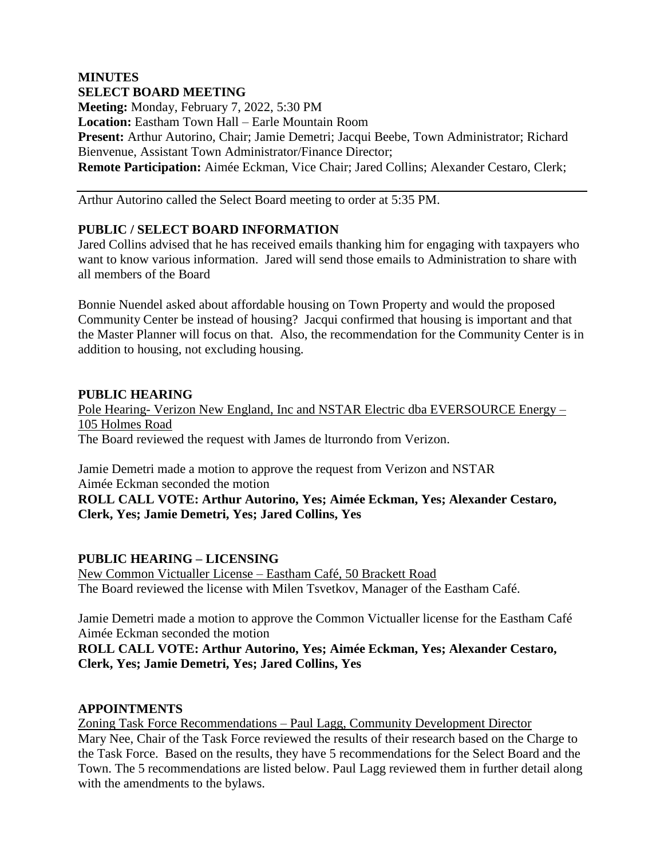### **MINUTES SELECT BOARD MEETING**

**Meeting:** Monday, February 7, 2022, 5:30 PM **Location:** Eastham Town Hall – Earle Mountain Room **Present:** Arthur Autorino, Chair; Jamie Demetri; Jacqui Beebe, Town Administrator; Richard Bienvenue, Assistant Town Administrator/Finance Director; **Remote Participation:** Aimée Eckman, Vice Chair; Jared Collins; Alexander Cestaro, Clerk;

Arthur Autorino called the Select Board meeting to order at 5:35 PM.

# **PUBLIC / SELECT BOARD INFORMATION**

Jared Collins advised that he has received emails thanking him for engaging with taxpayers who want to know various information. Jared will send those emails to Administration to share with all members of the Board

Bonnie Nuendel asked about affordable housing on Town Property and would the proposed Community Center be instead of housing? Jacqui confirmed that housing is important and that the Master Planner will focus on that. Also, the recommendation for the Community Center is in addition to housing, not excluding housing.

### **PUBLIC HEARING**

Pole Hearing- Verizon New England, Inc and NSTAR Electric dba EVERSOURCE Energy – 105 Holmes Road The Board reviewed the request with James de lturrondo from Verizon.

Jamie Demetri made a motion to approve the request from Verizon and NSTAR Aimée Eckman seconded the motion

**ROLL CALL VOTE: Arthur Autorino, Yes; Aimée Eckman, Yes; Alexander Cestaro, Clerk, Yes; Jamie Demetri, Yes; Jared Collins, Yes**

## **PUBLIC HEARING – LICENSING**

New Common Victualler License – Eastham Café, 50 Brackett Road The Board reviewed the license with Milen Tsvetkov, Manager of the Eastham Café.

Jamie Demetri made a motion to approve the Common Victualler license for the Eastham Café Aimée Eckman seconded the motion

**ROLL CALL VOTE: Arthur Autorino, Yes; Aimée Eckman, Yes; Alexander Cestaro, Clerk, Yes; Jamie Demetri, Yes; Jared Collins, Yes**

## **APPOINTMENTS**

Zoning Task Force Recommendations – Paul Lagg, Community Development Director Mary Nee, Chair of the Task Force reviewed the results of their research based on the Charge to the Task Force. Based on the results, they have 5 recommendations for the Select Board and the Town. The 5 recommendations are listed below. Paul Lagg reviewed them in further detail along with the amendments to the bylaws.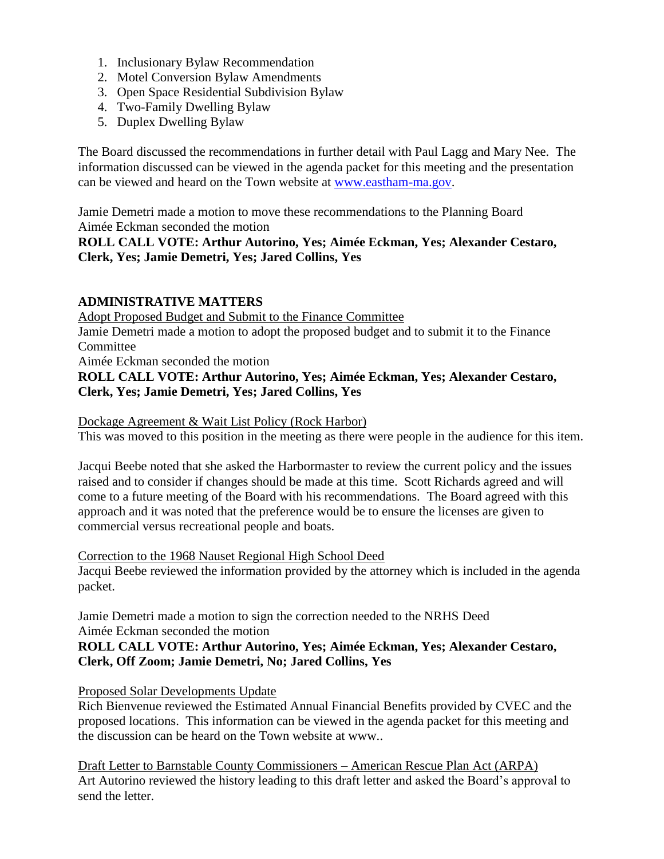- 1. Inclusionary Bylaw Recommendation
- 2. Motel Conversion Bylaw Amendments
- 3. Open Space Residential Subdivision Bylaw
- 4. Two-Family Dwelling Bylaw
- 5. Duplex Dwelling Bylaw

The Board discussed the recommendations in further detail with Paul Lagg and Mary Nee. The information discussed can be viewed in the agenda packet for this meeting and the presentation can be viewed and heard on the Town website at [www.eastham-ma.gov.](http://www.eastham-ma.gov/)

Jamie Demetri made a motion to move these recommendations to the Planning Board Aimée Eckman seconded the motion

#### **ROLL CALL VOTE: Arthur Autorino, Yes; Aimée Eckman, Yes; Alexander Cestaro, Clerk, Yes; Jamie Demetri, Yes; Jared Collins, Yes**

### **ADMINISTRATIVE MATTERS**

Adopt Proposed Budget and Submit to the Finance Committee Jamie Demetri made a motion to adopt the proposed budget and to submit it to the Finance Committee Aimée Eckman seconded the motion **ROLL CALL VOTE: Arthur Autorino, Yes; Aimée Eckman, Yes; Alexander Cestaro,** 

**Clerk, Yes; Jamie Demetri, Yes; Jared Collins, Yes**

Dockage Agreement & Wait List Policy (Rock Harbor)

This was moved to this position in the meeting as there were people in the audience for this item.

Jacqui Beebe noted that she asked the Harbormaster to review the current policy and the issues raised and to consider if changes should be made at this time. Scott Richards agreed and will come to a future meeting of the Board with his recommendations. The Board agreed with this approach and it was noted that the preference would be to ensure the licenses are given to commercial versus recreational people and boats.

#### Correction to the 1968 Nauset Regional High School Deed

Jacqui Beebe reviewed the information provided by the attorney which is included in the agenda packet.

Jamie Demetri made a motion to sign the correction needed to the NRHS Deed Aimée Eckman seconded the motion

### **ROLL CALL VOTE: Arthur Autorino, Yes; Aimée Eckman, Yes; Alexander Cestaro, Clerk, Off Zoom; Jamie Demetri, No; Jared Collins, Yes**

#### Proposed Solar Developments Update

Rich Bienvenue reviewed the Estimated Annual Financial Benefits provided by CVEC and the proposed locations. This information can be viewed in the agenda packet for this meeting and the discussion can be heard on the Town website at www..

Draft Letter to Barnstable County Commissioners – American Rescue Plan Act (ARPA) Art Autorino reviewed the history leading to this draft letter and asked the Board's approval to send the letter.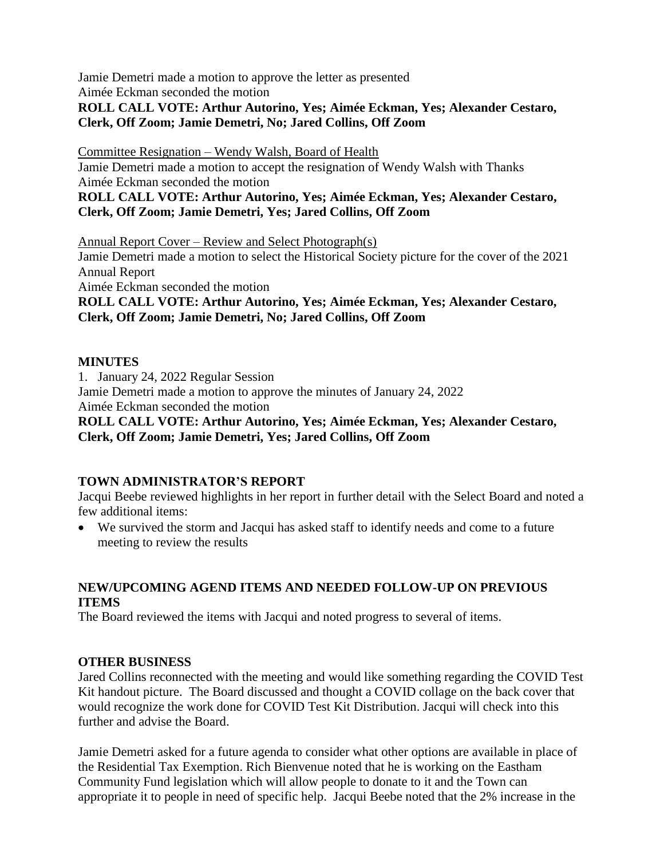Jamie Demetri made a motion to approve the letter as presented

Aimée Eckman seconded the motion

## **ROLL CALL VOTE: Arthur Autorino, Yes; Aimée Eckman, Yes; Alexander Cestaro, Clerk, Off Zoom; Jamie Demetri, No; Jared Collins, Off Zoom**

Committee Resignation – Wendy Walsh, Board of Health

Jamie Demetri made a motion to accept the resignation of Wendy Walsh with Thanks Aimée Eckman seconded the motion

**ROLL CALL VOTE: Arthur Autorino, Yes; Aimée Eckman, Yes; Alexander Cestaro, Clerk, Off Zoom; Jamie Demetri, Yes; Jared Collins, Off Zoom**

Annual Report Cover – Review and Select Photograph(s)

Jamie Demetri made a motion to select the Historical Society picture for the cover of the 2021 Annual Report

Aimée Eckman seconded the motion

**ROLL CALL VOTE: Arthur Autorino, Yes; Aimée Eckman, Yes; Alexander Cestaro, Clerk, Off Zoom; Jamie Demetri, No; Jared Collins, Off Zoom**

# **MINUTES**

1. January 24, 2022 Regular Session Jamie Demetri made a motion to approve the minutes of January 24, 2022

Aimée Eckman seconded the motion

**ROLL CALL VOTE: Arthur Autorino, Yes; Aimée Eckman, Yes; Alexander Cestaro, Clerk, Off Zoom; Jamie Demetri, Yes; Jared Collins, Off Zoom**

# **TOWN ADMINISTRATOR'S REPORT**

Jacqui Beebe reviewed highlights in her report in further detail with the Select Board and noted a few additional items:

 We survived the storm and Jacqui has asked staff to identify needs and come to a future meeting to review the results

# **NEW/UPCOMING AGEND ITEMS AND NEEDED FOLLOW-UP ON PREVIOUS ITEMS**

The Board reviewed the items with Jacqui and noted progress to several of items.

# **OTHER BUSINESS**

Jared Collins reconnected with the meeting and would like something regarding the COVID Test Kit handout picture. The Board discussed and thought a COVID collage on the back cover that would recognize the work done for COVID Test Kit Distribution. Jacqui will check into this further and advise the Board.

Jamie Demetri asked for a future agenda to consider what other options are available in place of the Residential Tax Exemption. Rich Bienvenue noted that he is working on the Eastham Community Fund legislation which will allow people to donate to it and the Town can appropriate it to people in need of specific help. Jacqui Beebe noted that the 2% increase in the